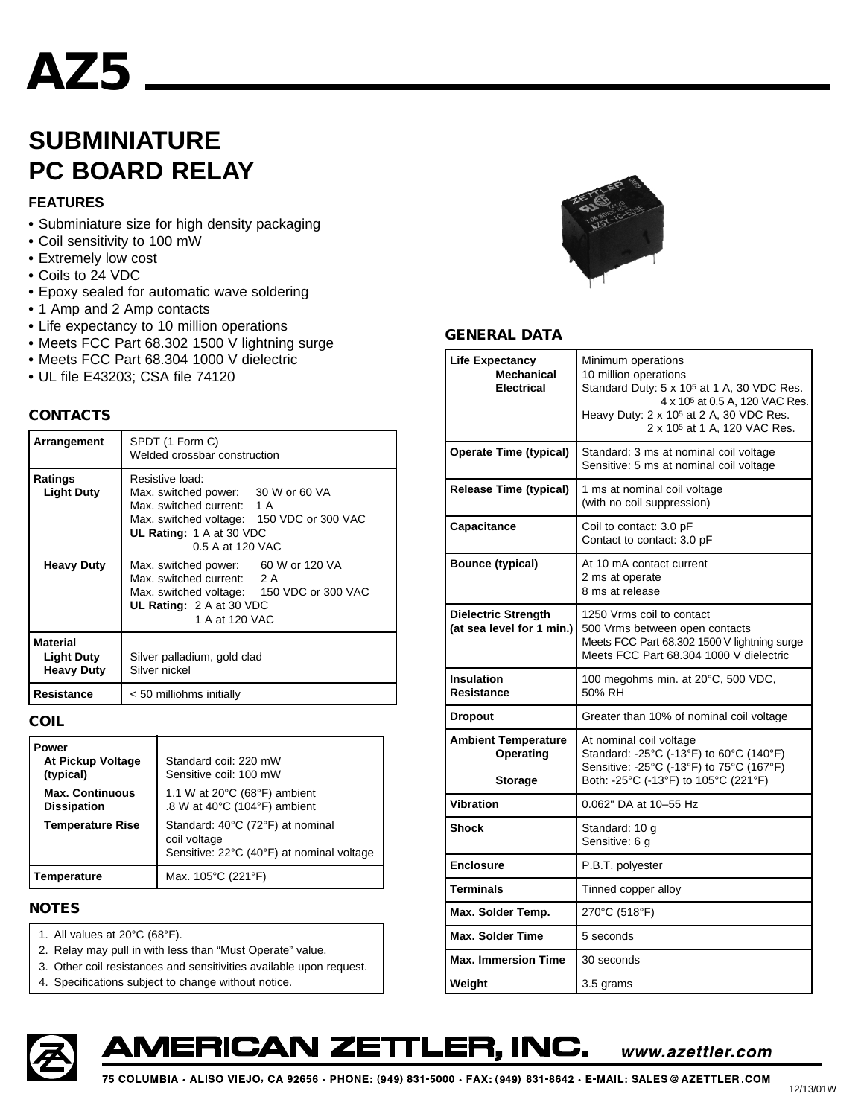# **AZ5**

## **SUBMINIATURE PC BOARD RELAY**

#### **FEATURES**

- **•** Subminiature size for high density packaging
- **•** Coil sensitivity to 100 mW
- **•** Extremely low cost
- **•** Coils to 24 VDC
- **•** Epoxy sealed for automatic wave soldering
- **•** 1 Amp and 2 Amp contacts
- **•** Life expectancy to 10 million operations
- **•** Meets FCC Part 68.302 1500 V lightning surge
- **•** Meets FCC Part 68.304 1000 V dielectric
- **•** UL file E43203; CSA file 74120

#### **CONTACTS**

| Arrangement                                               | SPDT (1 Form C)<br>Welded crossbar construction                                                                                                                                  |  |  |  |
|-----------------------------------------------------------|----------------------------------------------------------------------------------------------------------------------------------------------------------------------------------|--|--|--|
| Ratings<br><b>Light Duty</b>                              | Resistive load:<br>Max. switched power: 30 W or 60 VA<br>Max. switched current: 1 A<br>Max. switched voltage: 150 VDC or 300 VAC<br>UL Rating: 1 A at 30 VDC<br>0.5 A at 120 VAC |  |  |  |
| <b>Heavy Duty</b>                                         | Max. switched power: 60 W or 120 VA<br>Max. switched current: 2 A<br>Max. switched voltage: 150 VDC or 300 VAC<br>UL Rating: $2 \text{ A}$ at 30 VDC<br>1 A at 120 VAC           |  |  |  |
| <b>Material</b><br><b>Light Duty</b><br><b>Heavy Duty</b> | Silver palladium, gold clad<br>Silver nickel                                                                                                                                     |  |  |  |
| Resistance                                                | < 50 milliohms initially                                                                                                                                                         |  |  |  |

#### **COIL**

| Power<br>At Pickup Voltage<br>(typical)      | Standard coil: 220 mW<br>Sensitive coil: 100 mW                                               |  |  |  |  |
|----------------------------------------------|-----------------------------------------------------------------------------------------------|--|--|--|--|
| <b>Max. Continuous</b><br><b>Dissipation</b> | 1.1 W at 20°C (68°F) ambient<br>.8 W at $40^{\circ}$ C (104 $^{\circ}$ F) ambient             |  |  |  |  |
| <b>Temperature Rise</b>                      | Standard: 40°C (72°F) at nominal<br>coil voltage<br>Sensitive: 22°C (40°F) at nominal voltage |  |  |  |  |
| Temperature                                  | Max. 105°C (221°F)                                                                            |  |  |  |  |

#### **NOTES**

- 1. All values at 20°C (68°F).
- 2. Relay may pull in with less than "Must Operate" value.
- 3. Other coil resistances and sensitivities available upon request.
- 4. Specifications subject to change without notice.



#### **GENERAL DATA**

| <b>Life Expectancy</b><br><b>Mechanical</b><br><b>Electrical</b> | Minimum operations<br>10 million operations<br>Standard Duty: 5 x 10 <sup>5</sup> at 1 A, 30 VDC Res.<br>4 x 10 <sup>5</sup> at 0.5 A, 120 VAC Res.<br>Heavy Duty: 2 x 10 <sup>5</sup> at 2 A, 30 VDC Res.<br>2 x 10 <sup>5</sup> at 1 A, 120 VAC Res. |  |  |  |
|------------------------------------------------------------------|--------------------------------------------------------------------------------------------------------------------------------------------------------------------------------------------------------------------------------------------------------|--|--|--|
| <b>Operate Time (typical)</b>                                    | Standard: 3 ms at nominal coil voltage<br>Sensitive: 5 ms at nominal coil voltage                                                                                                                                                                      |  |  |  |
| Release Time (typical)                                           | 1 ms at nominal coil voltage<br>(with no coil suppression)                                                                                                                                                                                             |  |  |  |
| Capacitance                                                      | Coil to contact: 3.0 pF<br>Contact to contact: 3.0 pF                                                                                                                                                                                                  |  |  |  |
| <b>Bounce (typical)</b>                                          | At 10 mA contact current<br>2 ms at operate<br>8 ms at release                                                                                                                                                                                         |  |  |  |
| <b>Dielectric Strength</b><br>(at sea level for 1 min.)          | 1250 Vrms coil to contact<br>500 Vrms between open contacts<br>Meets FCC Part 68.302 1500 V lightning surge<br>Meets FCC Part 68.304 1000 V dielectric                                                                                                 |  |  |  |
| <b>Insulation</b><br>Resistance                                  | 100 megohms min. at 20°C, 500 VDC,<br>50% RH                                                                                                                                                                                                           |  |  |  |
| <b>Dropout</b>                                                   | Greater than 10% of nominal coil voltage                                                                                                                                                                                                               |  |  |  |
| <b>Ambient Temperature</b><br>Operating<br><b>Storage</b>        | At nominal coil voltage<br>Standard: -25°C (-13°F) to 60°C (140°F)<br>Sensitive: - 25°C (-13°F) to 75°C (167°F)<br>Both: -25°C (-13°F) to 105°C (221°F)                                                                                                |  |  |  |
| <b>Vibration</b>                                                 | 0.062" DA at 10-55 Hz                                                                                                                                                                                                                                  |  |  |  |
| <b>Shock</b>                                                     | Standard: 10 g<br>Sensitive: 6 g                                                                                                                                                                                                                       |  |  |  |
| <b>Enclosure</b>                                                 | P.B.T. polyester                                                                                                                                                                                                                                       |  |  |  |
| <b>Terminals</b>                                                 | Tinned copper alloy                                                                                                                                                                                                                                    |  |  |  |
| Max. Solder Temp.                                                | 270°C (518°F)                                                                                                                                                                                                                                          |  |  |  |
| <b>Max. Solder Time</b>                                          | 5 seconds                                                                                                                                                                                                                                              |  |  |  |
| <b>Max. Immersion Time</b>                                       | 30 seconds                                                                                                                                                                                                                                             |  |  |  |
| Weight                                                           | 3.5 grams                                                                                                                                                                                                                                              |  |  |  |

## MERICAN ZETTLER, INC.

www.azettler.com